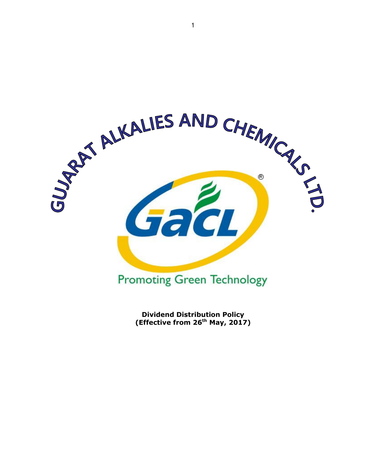

Dividend Distribution Policy (Effective from  $26<sup>th</sup>$  May, 2017)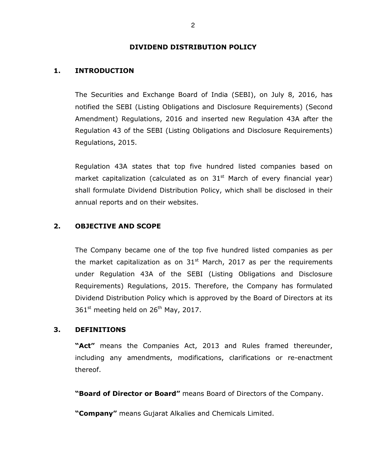### DIVIDEND DISTRIBUTION POLICY

## 1. INTRODUCTION

The Securities and Exchange Board of India (SEBI), on July 8, 2016, has notified the SEBI (Listing Obligations and Disclosure Requirements) (Second Amendment) Regulations, 2016 and inserted new Regulation 43A after the Regulation 43 of the SEBI (Listing Obligations and Disclosure Requirements) Regulations, 2015.

Regulation 43A states that top five hundred listed companies based on market capitalization (calculated as on  $31<sup>st</sup>$  March of every financial year) shall formulate Dividend Distribution Policy, which shall be disclosed in their annual reports and on their websites.

## 2. OBJECTIVE AND SCOPE

The Company became one of the top five hundred listed companies as per the market capitalization as on  $31<sup>st</sup>$  March, 2017 as per the requirements under Regulation 43A of the SEBI (Listing Obligations and Disclosure Requirements) Regulations, 2015. Therefore, the Company has formulated Dividend Distribution Policy which is approved by the Board of Directors at its  $361<sup>st</sup>$  meeting held on  $26<sup>th</sup>$  May, 2017.

### 3. DEFINITIONS

"Act" means the Companies Act, 2013 and Rules framed thereunder, including any amendments, modifications, clarifications or re-enactment thereof.

"Board of Director or Board" means Board of Directors of the Company.

"Company" means Gujarat Alkalies and Chemicals Limited.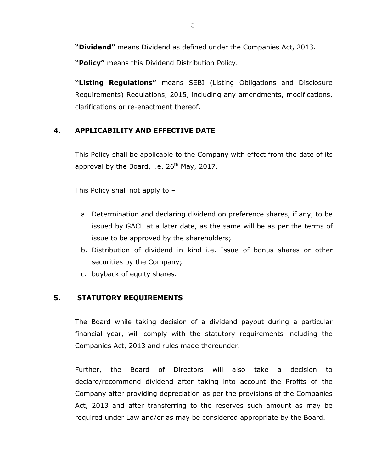"Dividend" means Dividend as defined under the Companies Act, 2013.

"Policy" means this Dividend Distribution Policy.

"Listing Regulations" means SEBI (Listing Obligations and Disclosure Requirements) Regulations, 2015, including any amendments, modifications, clarifications or re-enactment thereof.

## 4. APPLICABILITY AND EFFECTIVE DATE

This Policy shall be applicable to the Company with effect from the date of its approval by the Board, i.e.  $26<sup>th</sup>$  May, 2017.

This Policy shall not apply to –

- a. Determination and declaring dividend on preference shares, if any, to be issued by GACL at a later date, as the same will be as per the terms of issue to be approved by the shareholders;
- b. Distribution of dividend in kind i.e. Issue of bonus shares or other securities by the Company;
- c. buyback of equity shares.

## 5. STATUTORY REQUIREMENTS

The Board while taking decision of a dividend payout during a particular financial year, will comply with the statutory requirements including the Companies Act, 2013 and rules made thereunder.

Further, the Board of Directors will also take a decision to declare/recommend dividend after taking into account the Profits of the Company after providing depreciation as per the provisions of the Companies Act, 2013 and after transferring to the reserves such amount as may be required under Law and/or as may be considered appropriate by the Board.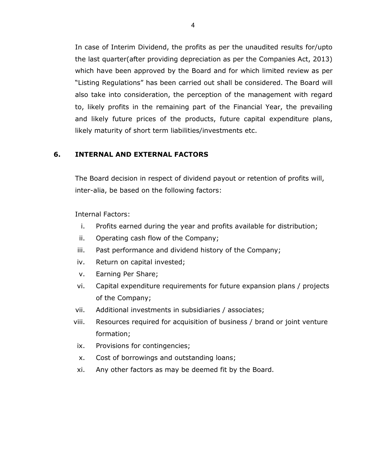In case of Interim Dividend, the profits as per the unaudited results for/upto the last quarter(after providing depreciation as per the Companies Act, 2013) which have been approved by the Board and for which limited review as per "Listing Regulations" has been carried out shall be considered. The Board will also take into consideration, the perception of the management with regard to, likely profits in the remaining part of the Financial Year, the prevailing and likely future prices of the products, future capital expenditure plans, likely maturity of short term liabilities/investments etc.

## 6. INTERNAL AND EXTERNAL FACTORS

The Board decision in respect of dividend payout or retention of profits will, inter-alia, be based on the following factors:

### Internal Factors:

- i. Profits earned during the year and profits available for distribution;
- ii. Operating cash flow of the Company;
- iii. Past performance and dividend history of the Company;
- iv. Return on capital invested;
- v. Earning Per Share;
- vi. Capital expenditure requirements for future expansion plans / projects of the Company;
- vii. Additional investments in subsidiaries / associates;
- viii. Resources required for acquisition of business / brand or joint venture formation;
- ix. Provisions for contingencies;
- x. Cost of borrowings and outstanding loans;
- xi. Any other factors as may be deemed fit by the Board.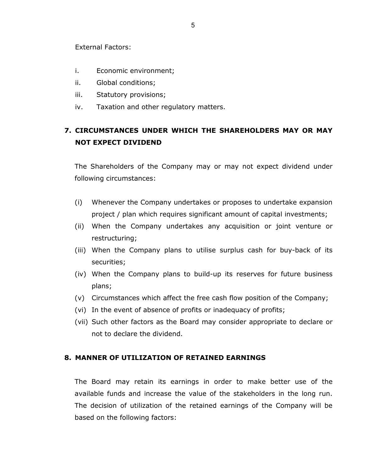External Factors:

- i. Economic environment;
- ii. Global conditions;
- iii. Statutory provisions;
- iv. Taxation and other regulatory matters.

# 7. CIRCUMSTANCES UNDER WHICH THE SHAREHOLDERS MAY OR MAY NOT EXPECT DIVIDEND

The Shareholders of the Company may or may not expect dividend under following circumstances:

- (i) Whenever the Company undertakes or proposes to undertake expansion project / plan which requires significant amount of capital investments;
- (ii) When the Company undertakes any acquisition or joint venture or restructuring;
- (iii) When the Company plans to utilise surplus cash for buy-back of its securities;
- (iv) When the Company plans to build-up its reserves for future business plans;
- (v) Circumstances which affect the free cash flow position of the Company;
- (vi) In the event of absence of profits or inadequacy of profits;
- (vii) Such other factors as the Board may consider appropriate to declare or not to declare the dividend.

### 8. MANNER OF UTILIZATION OF RETAINED EARNINGS

The Board may retain its earnings in order to make better use of the available funds and increase the value of the stakeholders in the long run. The decision of utilization of the retained earnings of the Company will be based on the following factors: